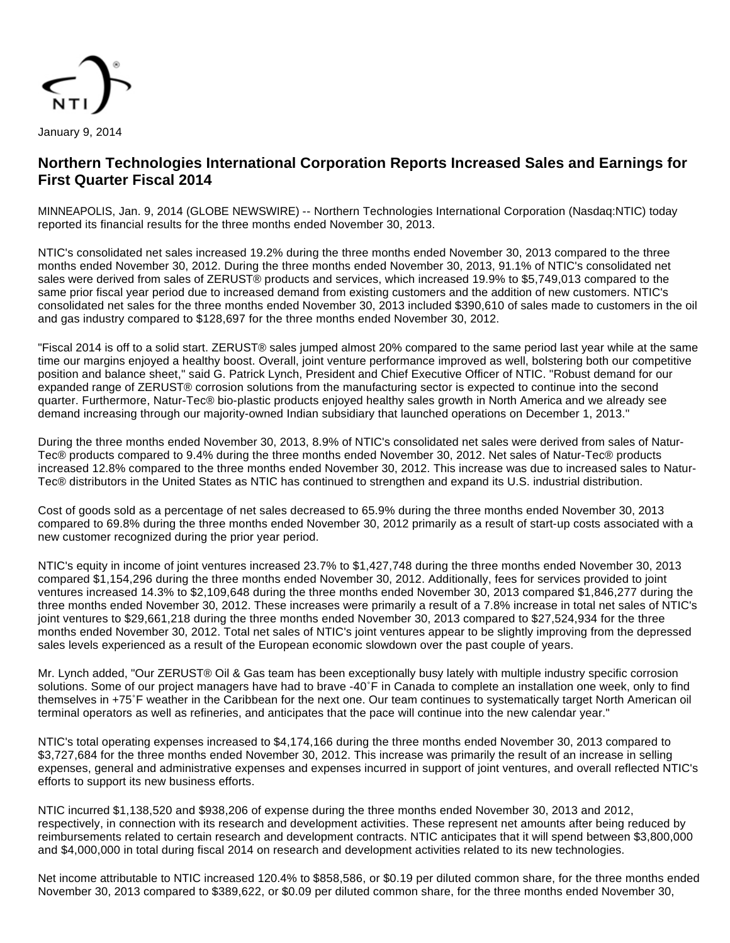

# **Northern Technologies International Corporation Reports Increased Sales and Earnings for First Quarter Fiscal 2014**

MINNEAPOLIS, Jan. 9, 2014 (GLOBE NEWSWIRE) -- Northern Technologies International Corporation (Nasdaq:NTIC) today reported its financial results for the three months ended November 30, 2013.

NTIC's consolidated net sales increased 19.2% during the three months ended November 30, 2013 compared to the three months ended November 30, 2012. During the three months ended November 30, 2013, 91.1% of NTIC's consolidated net sales were derived from sales of ZERUST® products and services, which increased 19.9% to \$5,749,013 compared to the same prior fiscal year period due to increased demand from existing customers and the addition of new customers. NTIC's consolidated net sales for the three months ended November 30, 2013 included \$390,610 of sales made to customers in the oil and gas industry compared to \$128,697 for the three months ended November 30, 2012.

"Fiscal 2014 is off to a solid start. ZERUST® sales jumped almost 20% compared to the same period last year while at the same time our margins enjoyed a healthy boost. Overall, joint venture performance improved as well, bolstering both our competitive position and balance sheet," said G. Patrick Lynch, President and Chief Executive Officer of NTIC. "Robust demand for our expanded range of ZERUST® corrosion solutions from the manufacturing sector is expected to continue into the second quarter. Furthermore, Natur-Tec® bio-plastic products enjoyed healthy sales growth in North America and we already see demand increasing through our majority-owned Indian subsidiary that launched operations on December 1, 2013."

During the three months ended November 30, 2013, 8.9% of NTIC's consolidated net sales were derived from sales of Natur-Tec® products compared to 9.4% during the three months ended November 30, 2012. Net sales of Natur-Tec® products increased 12.8% compared to the three months ended November 30, 2012. This increase was due to increased sales to Natur-Tec® distributors in the United States as NTIC has continued to strengthen and expand its U.S. industrial distribution.

Cost of goods sold as a percentage of net sales decreased to 65.9% during the three months ended November 30, 2013 compared to 69.8% during the three months ended November 30, 2012 primarily as a result of start-up costs associated with a new customer recognized during the prior year period.

NTIC's equity in income of joint ventures increased 23.7% to \$1,427,748 during the three months ended November 30, 2013 compared \$1,154,296 during the three months ended November 30, 2012. Additionally, fees for services provided to joint ventures increased 14.3% to \$2,109,648 during the three months ended November 30, 2013 compared \$1,846,277 during the three months ended November 30, 2012. These increases were primarily a result of a 7.8% increase in total net sales of NTIC's joint ventures to \$29,661,218 during the three months ended November 30, 2013 compared to \$27,524,934 for the three months ended November 30, 2012. Total net sales of NTIC's joint ventures appear to be slightly improving from the depressed sales levels experienced as a result of the European economic slowdown over the past couple of years.

Mr. Lynch added, "Our ZERUST® Oil & Gas team has been exceptionally busy lately with multiple industry specific corrosion solutions. Some of our project managers have had to brave -40°F in Canada to complete an installation one week, only to find themselves in +75˚F weather in the Caribbean for the next one. Our team continues to systematically target North American oil terminal operators as well as refineries, and anticipates that the pace will continue into the new calendar year."

NTIC's total operating expenses increased to \$4,174,166 during the three months ended November 30, 2013 compared to \$3,727,684 for the three months ended November 30, 2012. This increase was primarily the result of an increase in selling expenses, general and administrative expenses and expenses incurred in support of joint ventures, and overall reflected NTIC's efforts to support its new business efforts.

NTIC incurred \$1,138,520 and \$938,206 of expense during the three months ended November 30, 2013 and 2012, respectively, in connection with its research and development activities. These represent net amounts after being reduced by reimbursements related to certain research and development contracts. NTIC anticipates that it will spend between \$3,800,000 and \$4,000,000 in total during fiscal 2014 on research and development activities related to its new technologies.

Net income attributable to NTIC increased 120.4% to \$858,586, or \$0.19 per diluted common share, for the three months ended November 30, 2013 compared to \$389,622, or \$0.09 per diluted common share, for the three months ended November 30,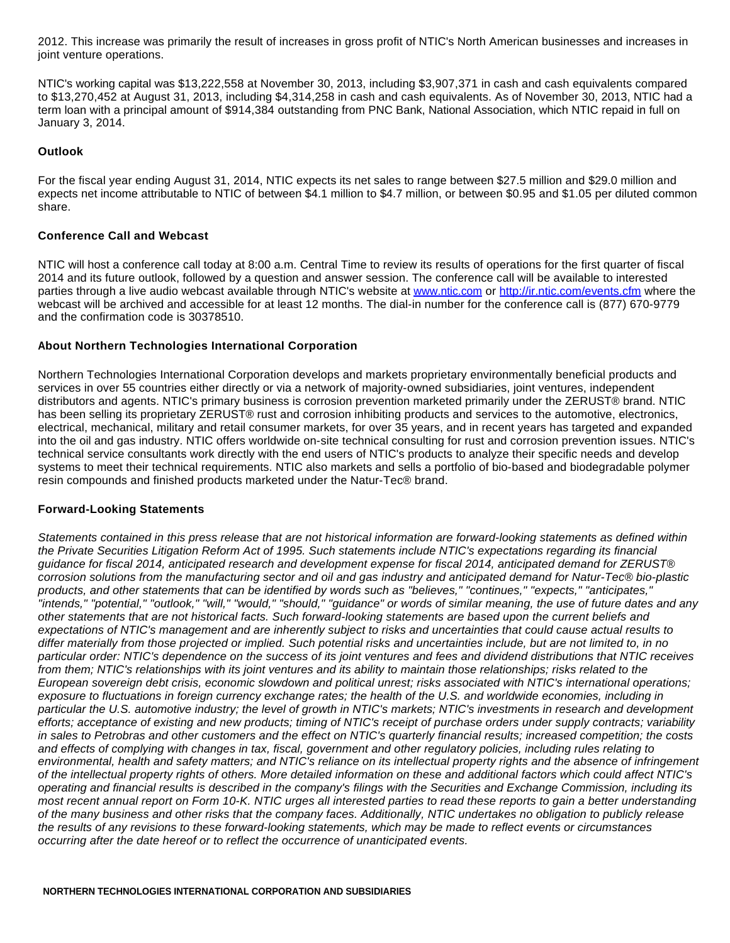2012. This increase was primarily the result of increases in gross profit of NTIC's North American businesses and increases in joint venture operations.

NTIC's working capital was \$13,222,558 at November 30, 2013, including \$3,907,371 in cash and cash equivalents compared to \$13,270,452 at August 31, 2013, including \$4,314,258 in cash and cash equivalents. As of November 30, 2013, NTIC had a term loan with a principal amount of \$914,384 outstanding from PNC Bank, National Association, which NTIC repaid in full on January 3, 2014.

#### **Outlook**

For the fiscal year ending August 31, 2014, NTIC expects its net sales to range between \$27.5 million and \$29.0 million and expects net income attributable to NTIC of between \$4.1 million to \$4.7 million, or between \$0.95 and \$1.05 per diluted common share.

#### **Conference Call and Webcast**

NTIC will host a conference call today at 8:00 a.m. Central Time to review its results of operations for the first quarter of fiscal 2014 and its future outlook, followed by a question and answer session. The conference call will be available to interested parties through a live audio webcast available through NTIC's website at [www.ntic.com](http://www.globenewswire.com/newsroom/ctr?d=10063299&l=15&a=www.ntic.com&u=http%3A%2F%2Fwww.ntic.com) or [http://ir.ntic.com/events.cfm](http://www.globenewswire.com/newsroom/ctr?d=10063299&l=15&u=http%3A%2F%2Fir.ntic.com%2Fevents.cfm) where the webcast will be archived and accessible for at least 12 months. The dial-in number for the conference call is (877) 670-9779 and the confirmation code is 30378510.

### **About Northern Technologies International Corporation**

Northern Technologies International Corporation develops and markets proprietary environmentally beneficial products and services in over 55 countries either directly or via a network of majority-owned subsidiaries, joint ventures, independent distributors and agents. NTIC's primary business is corrosion prevention marketed primarily under the ZERUST® brand. NTIC has been selling its proprietary ZERUST® rust and corrosion inhibiting products and services to the automotive, electronics, electrical, mechanical, military and retail consumer markets, for over 35 years, and in recent years has targeted and expanded into the oil and gas industry. NTIC offers worldwide on-site technical consulting for rust and corrosion prevention issues. NTIC's technical service consultants work directly with the end users of NTIC's products to analyze their specific needs and develop systems to meet their technical requirements. NTIC also markets and sells a portfolio of bio-based and biodegradable polymer resin compounds and finished products marketed under the Natur-Tec® brand.

#### **Forward-Looking Statements**

Statements contained in this press release that are not historical information are forward-looking statements as defined within the Private Securities Litigation Reform Act of 1995. Such statements include NTIC's expectations regarding its financial guidance for fiscal 2014, anticipated research and development expense for fiscal 2014, anticipated demand for ZERUST® corrosion solutions from the manufacturing sector and oil and gas industry and anticipated demand for Natur-Tec® bio-plastic products, and other statements that can be identified by words such as "believes," "continues," "expects," "anticipates," "intends," "potential," "outlook," "will," "would," "should," "guidance" or words of similar meaning, the use of future dates and any other statements that are not historical facts. Such forward-looking statements are based upon the current beliefs and expectations of NTIC's management and are inherently subject to risks and uncertainties that could cause actual results to differ materially from those projected or implied. Such potential risks and uncertainties include, but are not limited to, in no particular order: NTIC's dependence on the success of its joint ventures and fees and dividend distributions that NTIC receives from them; NTIC's relationships with its joint ventures and its ability to maintain those relationships; risks related to the European sovereign debt crisis, economic slowdown and political unrest; risks associated with NTIC's international operations; exposure to fluctuations in foreign currency exchange rates; the health of the U.S. and worldwide economies, including in particular the U.S. automotive industry; the level of growth in NTIC's markets; NTIC's investments in research and development efforts; acceptance of existing and new products; timing of NTIC's receipt of purchase orders under supply contracts; variability in sales to Petrobras and other customers and the effect on NTIC's quarterly financial results; increased competition; the costs and effects of complying with changes in tax, fiscal, government and other regulatory policies, including rules relating to environmental, health and safety matters; and NTIC's reliance on its intellectual property rights and the absence of infringement of the intellectual property rights of others. More detailed information on these and additional factors which could affect NTIC's operating and financial results is described in the company's filings with the Securities and Exchange Commission, including its most recent annual report on Form 10-K. NTIC urges all interested parties to read these reports to gain a better understanding of the many business and other risks that the company faces. Additionally, NTIC undertakes no obligation to publicly release the results of any revisions to these forward-looking statements, which may be made to reflect events or circumstances occurring after the date hereof or to reflect the occurrence of unanticipated events.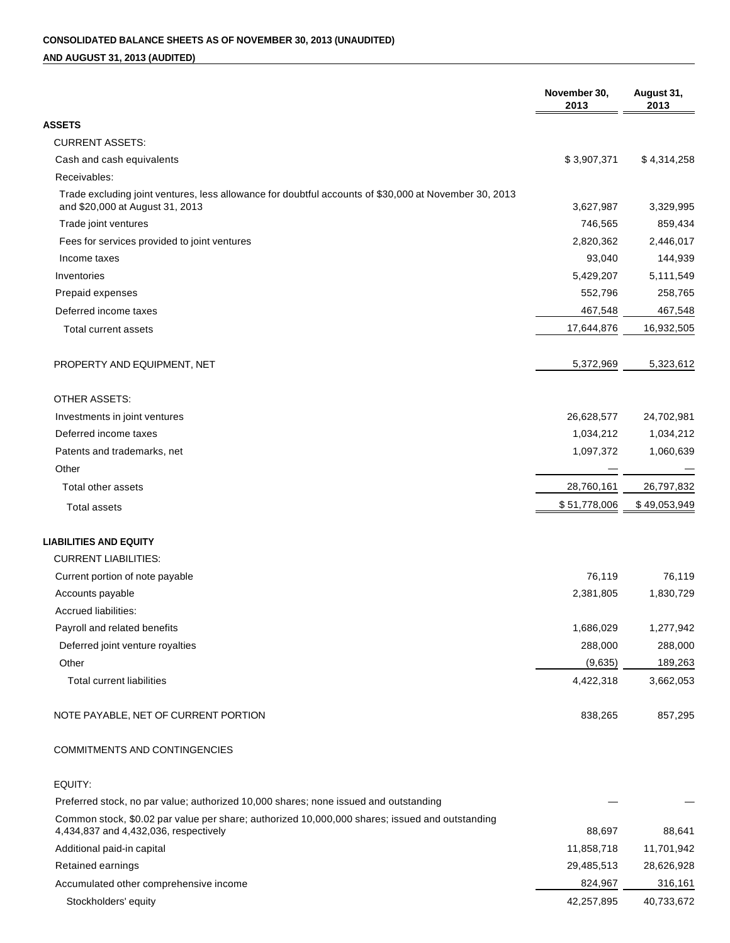### **CONSOLIDATED BALANCE SHEETS AS OF NOVEMBER 30, 2013 (UNAUDITED) AND AUGUST 31, 2013 (AUDITED)**

|                                                                                                                                          | November 30,<br>2013 | August 31,<br>2013 |
|------------------------------------------------------------------------------------------------------------------------------------------|----------------------|--------------------|
| <b>ASSETS</b>                                                                                                                            |                      |                    |
| <b>CURRENT ASSETS:</b>                                                                                                                   |                      |                    |
| Cash and cash equivalents                                                                                                                | \$3,907,371          | \$4,314,258        |
| Receivables:                                                                                                                             |                      |                    |
| Trade excluding joint ventures, less allowance for doubtful accounts of \$30,000 at November 30, 2013<br>and \$20,000 at August 31, 2013 | 3,627,987            | 3,329,995          |
| Trade joint ventures                                                                                                                     | 746,565              | 859,434            |
| Fees for services provided to joint ventures                                                                                             | 2,820,362            | 2,446,017          |
| Income taxes                                                                                                                             | 93,040               | 144,939            |
| Inventories                                                                                                                              | 5,429,207            | 5,111,549          |
| Prepaid expenses                                                                                                                         | 552,796              | 258,765            |
| Deferred income taxes                                                                                                                    | 467,548              | 467,548            |
| Total current assets                                                                                                                     | 17,644,876           | 16,932,505         |
| PROPERTY AND EQUIPMENT, NET                                                                                                              | 5,372,969            | 5,323,612          |
| <b>OTHER ASSETS:</b>                                                                                                                     |                      |                    |
| Investments in joint ventures                                                                                                            | 26,628,577           | 24,702,981         |
| Deferred income taxes                                                                                                                    | 1,034,212            | 1,034,212          |
| Patents and trademarks, net                                                                                                              | 1,097,372            | 1,060,639          |
| Other                                                                                                                                    |                      |                    |
| Total other assets                                                                                                                       | 28,760,161           | 26,797,832         |
| <b>Total assets</b>                                                                                                                      | \$51,778,006         | \$49,053,949       |
| <b>LIABILITIES AND EQUITY</b>                                                                                                            |                      |                    |
| <b>CURRENT LIABILITIES:</b>                                                                                                              |                      |                    |
| Current portion of note payable                                                                                                          | 76,119               | 76,119             |
| Accounts payable                                                                                                                         | 2,381,805            | 1,830,729          |
| Accrued liabilities:                                                                                                                     |                      |                    |
| Payroll and related benefits                                                                                                             | 1,686,029            | 1,277,942          |
| Deferred joint venture royalties                                                                                                         | 288,000              | 288,000            |
| Other                                                                                                                                    | (9,635)              | 189,263            |
| <b>Total current liabilities</b>                                                                                                         | 4,422,318            | 3,662,053          |
| NOTE PAYABLE, NET OF CURRENT PORTION                                                                                                     | 838,265              | 857,295            |
| COMMITMENTS AND CONTINGENCIES                                                                                                            |                      |                    |
| EQUITY:                                                                                                                                  |                      |                    |
| Preferred stock, no par value; authorized 10,000 shares; none issued and outstanding                                                     |                      |                    |
| Common stock, \$0.02 par value per share; authorized 10,000,000 shares; issued and outstanding<br>4,434,837 and 4,432,036, respectively  | 88,697               | 88,641             |
| Additional paid-in capital                                                                                                               | 11,858,718           | 11,701,942         |
| Retained earnings                                                                                                                        | 29,485,513           | 28,626,928         |
| Accumulated other comprehensive income                                                                                                   | 824,967              | 316,161            |
| Stockholders' equity                                                                                                                     | 42,257,895           | 40,733,672         |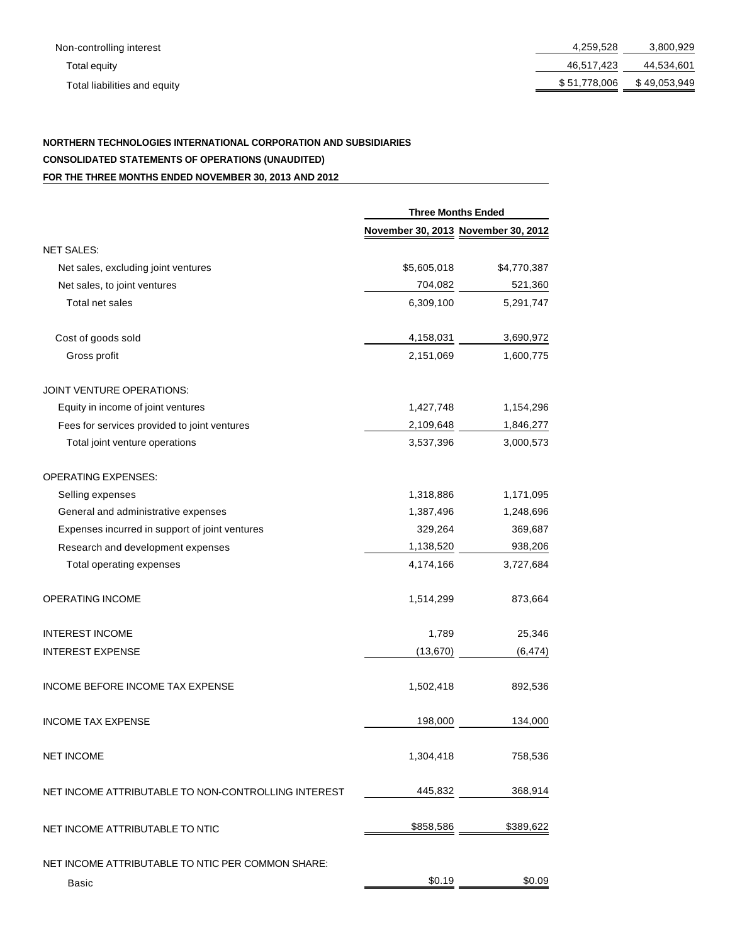| Non-controlling interest     |  |
|------------------------------|--|
| Total equity                 |  |
| Total liabilities and equity |  |

| Non-controlling interest     | 4.259.528    | 3,800,929    |
|------------------------------|--------------|--------------|
| Total equity                 | 46.517.423   | 44,534,601   |
| Total liabilities and equity | \$51.778.006 | \$49.053.949 |

### **NORTHERN TECHNOLOGIES INTERNATIONAL CORPORATION AND SUBSIDIARIES CONSOLIDATED STATEMENTS OF OPERATIONS (UNAUDITED) FOR THE THREE MONTHS ENDED NOVEMBER 30, 2013 AND 2012**

|                                                     | <b>Three Months Ended</b> |                                     |
|-----------------------------------------------------|---------------------------|-------------------------------------|
|                                                     |                           | November 30, 2013 November 30, 2012 |
| <b>NET SALES:</b>                                   |                           |                                     |
| Net sales, excluding joint ventures                 | \$5,605,018               | \$4,770,387                         |
| Net sales, to joint ventures                        | 704,082                   | 521,360                             |
| Total net sales                                     | 6,309,100                 | 5,291,747                           |
| Cost of goods sold                                  | 4,158,031                 | 3,690,972                           |
| Gross profit                                        | 2,151,069                 | 1,600,775                           |
| JOINT VENTURE OPERATIONS:                           |                           |                                     |
| Equity in income of joint ventures                  | 1,427,748                 | 1,154,296                           |
| Fees for services provided to joint ventures        | 2,109,648                 | 1,846,277                           |
| Total joint venture operations                      | 3,537,396                 | 3,000,573                           |
| <b>OPERATING EXPENSES:</b>                          |                           |                                     |
| Selling expenses                                    | 1,318,886                 | 1,171,095                           |
| General and administrative expenses                 | 1,387,496                 | 1,248,696                           |
| Expenses incurred in support of joint ventures      | 329,264                   | 369,687                             |
| Research and development expenses                   | 1,138,520                 | 938,206                             |
| Total operating expenses                            | 4,174,166                 | 3,727,684                           |
| <b>OPERATING INCOME</b>                             | 1,514,299                 | 873,664                             |
| <b>INTEREST INCOME</b>                              | 1,789                     | 25,346                              |
| INTEREST EXPENSE                                    | (13, 670)                 | (6, 474)                            |
| <b>INCOME BEFORE INCOME TAX EXPENSE</b>             | 1,502,418                 | 892,536                             |
| <b>INCOME TAX EXPENSE</b>                           | 198,000                   | 134,000                             |
| <b>NET INCOME</b>                                   | 1,304,418                 | 758,536                             |
| NET INCOME ATTRIBUTABLE TO NON-CONTROLLING INTEREST | 445,832                   | 368,914                             |
| NET INCOME ATTRIBUTABLE TO NTIC                     | \$858,586                 | \$389,622                           |
| NET INCOME ATTRIBUTABLE TO NTIC PER COMMON SHARE:   |                           |                                     |
| Basic                                               | \$0.19                    | \$0.09                              |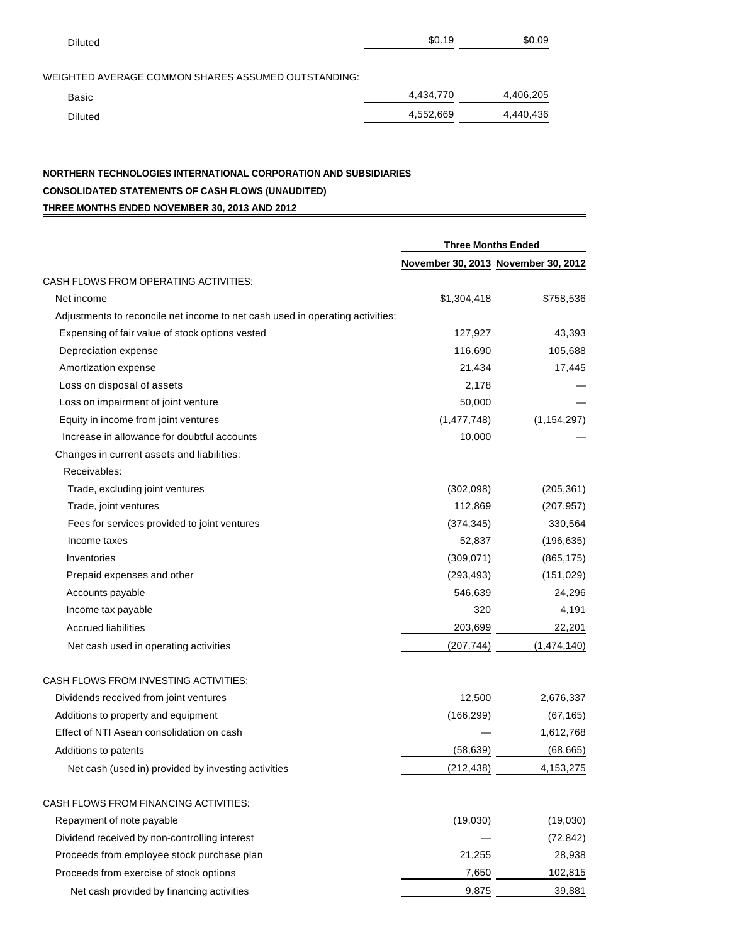| Diluted                                             | \$0.19    | \$0.09    |
|-----------------------------------------------------|-----------|-----------|
| WEIGHTED AVERAGE COMMON SHARES ASSUMED OUTSTANDING: |           |           |
| Basic                                               | 4,434,770 | 4,406,205 |

|         | .552.669 | 136<br>$\overline{A}$ |
|---------|----------|-----------------------|
| Diluted |          | w                     |

## **NORTHERN TECHNOLOGIES INTERNATIONAL CORPORATION AND SUBSIDIARIES**

### **CONSOLIDATED STATEMENTS OF CASH FLOWS (UNAUDITED)**

### **THREE MONTHS ENDED NOVEMBER 30, 2013 AND 2012**

|                                                                               | <b>Three Months Ended</b>           |               |
|-------------------------------------------------------------------------------|-------------------------------------|---------------|
|                                                                               | November 30, 2013 November 30, 2012 |               |
| CASH FLOWS FROM OPERATING ACTIVITIES:                                         |                                     |               |
| Net income                                                                    | \$1,304,418                         | \$758,536     |
| Adjustments to reconcile net income to net cash used in operating activities: |                                     |               |
| Expensing of fair value of stock options vested                               | 127,927                             | 43,393        |
| Depreciation expense                                                          | 116,690                             | 105,688       |
| Amortization expense                                                          | 21,434                              | 17,445        |
| Loss on disposal of assets                                                    | 2,178                               |               |
| Loss on impairment of joint venture                                           | 50,000                              |               |
| Equity in income from joint ventures                                          | (1,477,748)                         | (1, 154, 297) |
| Increase in allowance for doubtful accounts                                   | 10,000                              |               |
| Changes in current assets and liabilities:                                    |                                     |               |
| Receivables:                                                                  |                                     |               |
| Trade, excluding joint ventures                                               | (302,098)                           | (205, 361)    |
| Trade, joint ventures                                                         | 112,869                             | (207, 957)    |
| Fees for services provided to joint ventures                                  | (374, 345)                          | 330,564       |
| Income taxes                                                                  | 52,837                              | (196, 635)    |
| Inventories                                                                   | (309, 071)                          | (865, 175)    |
| Prepaid expenses and other                                                    | (293, 493)                          | (151, 029)    |
| Accounts payable                                                              | 546,639                             | 24,296        |
| Income tax payable                                                            | 320                                 | 4,191         |
| <b>Accrued liabilities</b>                                                    | 203,699                             | 22,201        |
| Net cash used in operating activities                                         | (207, 744)                          | (1,474,140)   |
| CASH FLOWS FROM INVESTING ACTIVITIES:                                         |                                     |               |
| Dividends received from joint ventures                                        | 12,500                              | 2,676,337     |
| Additions to property and equipment                                           | (166, 299)                          | (67, 165)     |
| Effect of NTI Asean consolidation on cash                                     |                                     | 1,612,768     |
| Additions to patents                                                          | (58, 639)                           | (68, 665)     |
| Net cash (used in) provided by investing activities                           | (212, 438)                          | 4,153,275     |
| CASH FLOWS FROM FINANCING ACTIVITIES:                                         |                                     |               |
| Repayment of note payable                                                     | (19,030)                            | (19,030)      |
| Dividend received by non-controlling interest                                 |                                     | (72, 842)     |
| Proceeds from employee stock purchase plan                                    | 21,255                              | 28,938        |
| Proceeds from exercise of stock options                                       | 7,650                               | 102,815       |
| Net cash provided by financing activities                                     | 9,875                               | 39,881        |